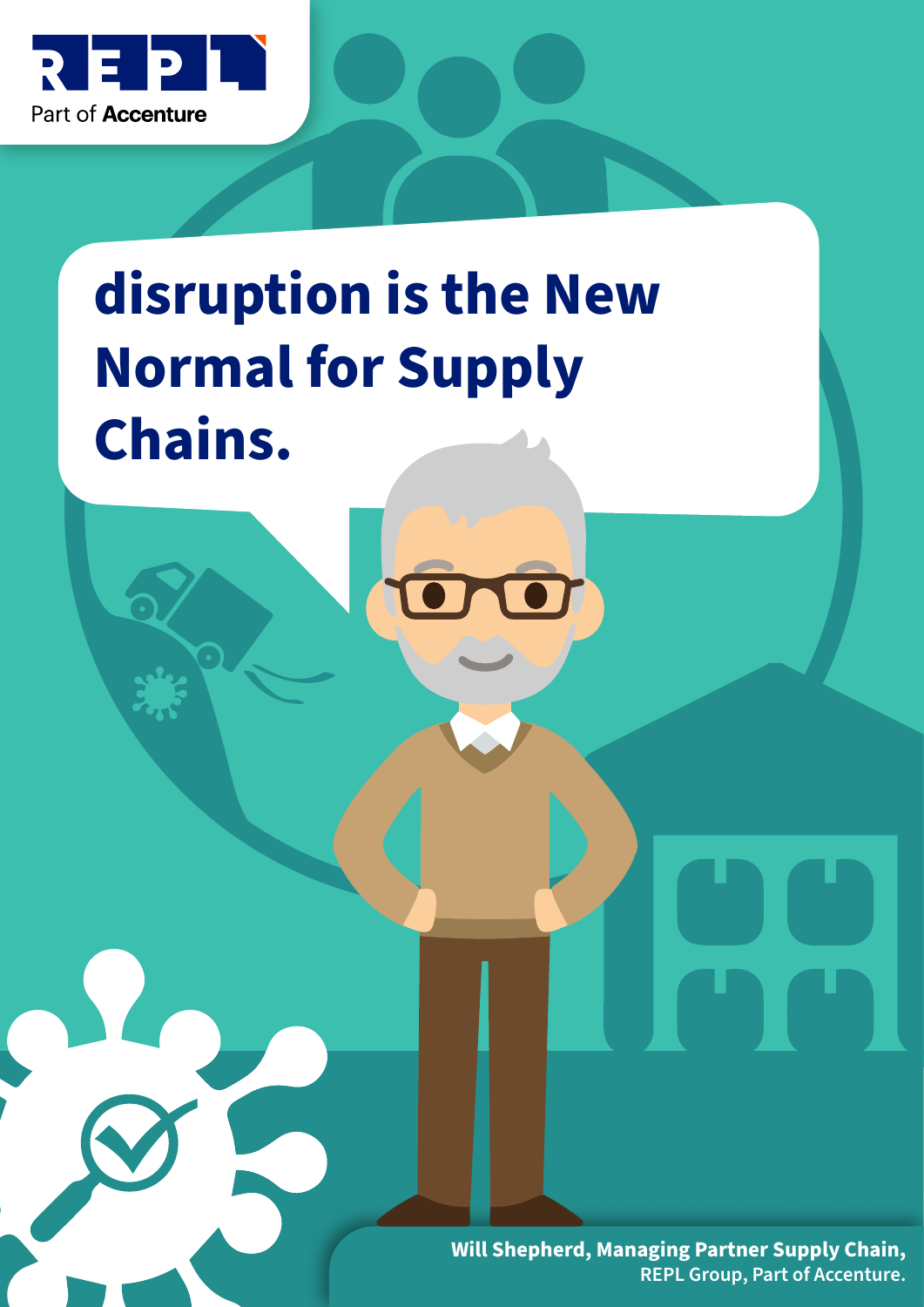

# **disruption is the New Normal for Supply Chains.**

**Will Shepherd, Managing Partner Supply Chain, REPL Group, Part of Accenture.**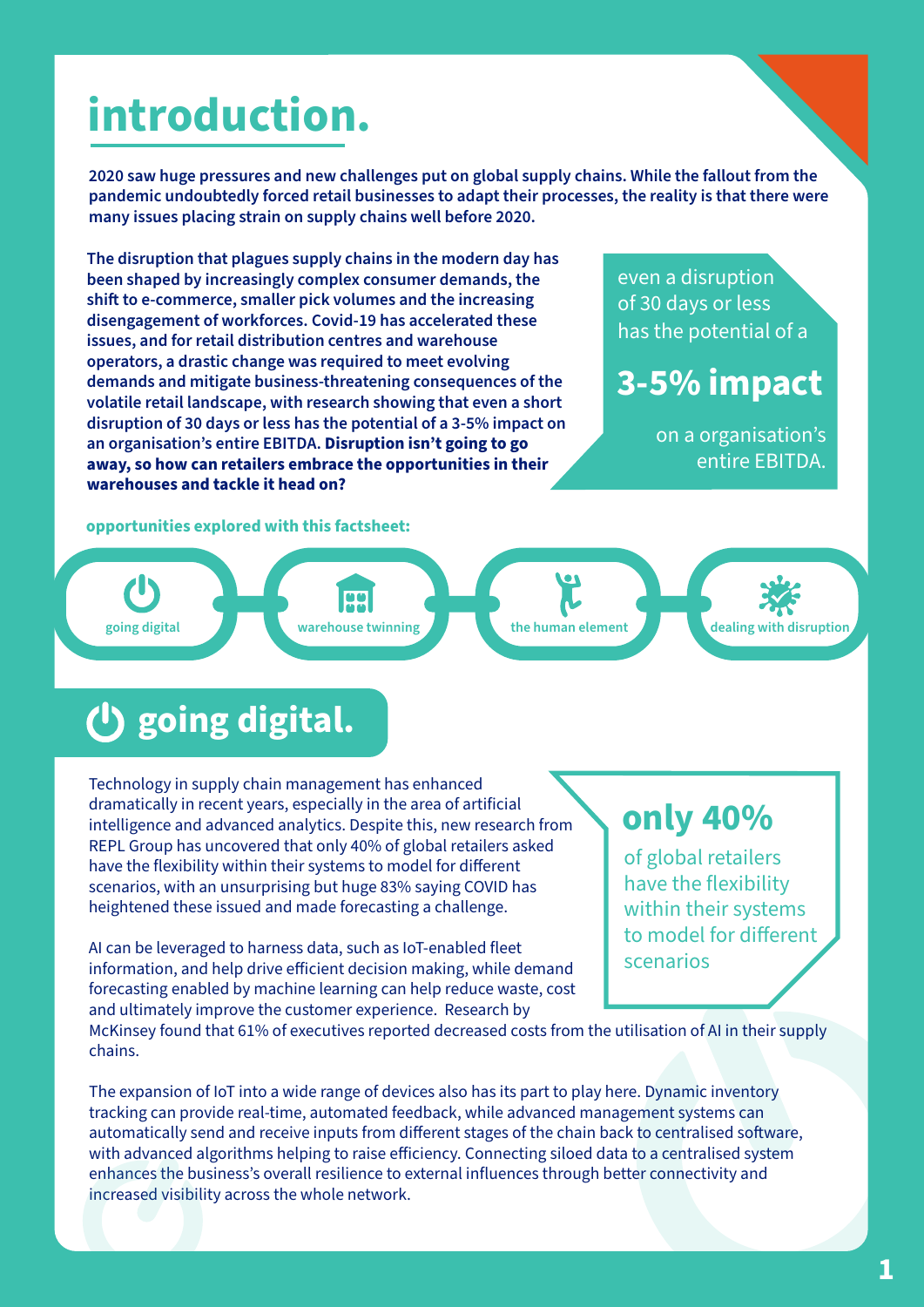# **introduction.**

**2020 saw huge pressures and new challenges put on global supply chains. While the fallout from the pandemic undoubtedly forced retail businesses to adapt their processes, the reality is that there were many issues placing strain on supply chains well before 2020.**

**The disruption that plagues supply chains in the modern day has been shaped by increasingly complex consumer demands, the**  shift to e-commerce, smaller pick volumes and the increasing **disengagement of workforces. Covid-19 has accelerated these issues, and for retail distribution centres and warehouse operators, a drastic change was required to meet evolving demands and mitigate business-threatening consequences of the volatile retail landscape, with research showing that even a short disruption of 30 days or less has the potential of a 3-5% impact on an organisation's entire EBITDA. Disruption isn't going to go away, so how can retailers embrace the opportunities in their warehouses and tackle it head on?**

even a disruption of 30 days or less has the potential of a

#### **3-5% impact**

on a organisation's entire EBITDA.

**opportunities explored with this factsheet:**



## **going digital.**

Technology in supply chain management has enhanced dramatically in recent years, especially in the area of artificial intelligence and advanced analytics. Despite this, new research from REPL Group has uncovered that only 40% of global retailers asked have the flexibility within their systems to model for different scenarios, with an unsurprising but huge 83% saying COVID has heightened these issued and made forecasting a challenge.

AI can be leveraged to harness data, such as IoT-enabled fleet information, and help drive efficient decision making, while demand forecasting enabled by machine learning can help reduce waste, cost and ultimately improve the customer experience. Research by

#### **only 40%**

of global retailers have the flexibility within their systems to model for different scenarios

McKinsey found that 61% of executives reported decreased costs from the utilisation of AI in their supply chains.

The expansion of IoT into a wide range of devices also has its part to play here. Dynamic inventory tracking can provide real-time, automated feedback, while advanced management systems can automatically send and receive inputs from different stages of the chain back to centralised software, with advanced algorithms helping to raise efficiency. Connecting siloed data to a centralised system enhances the business's overall resilience to external influences through better connectivity and increased visibility across the whole network.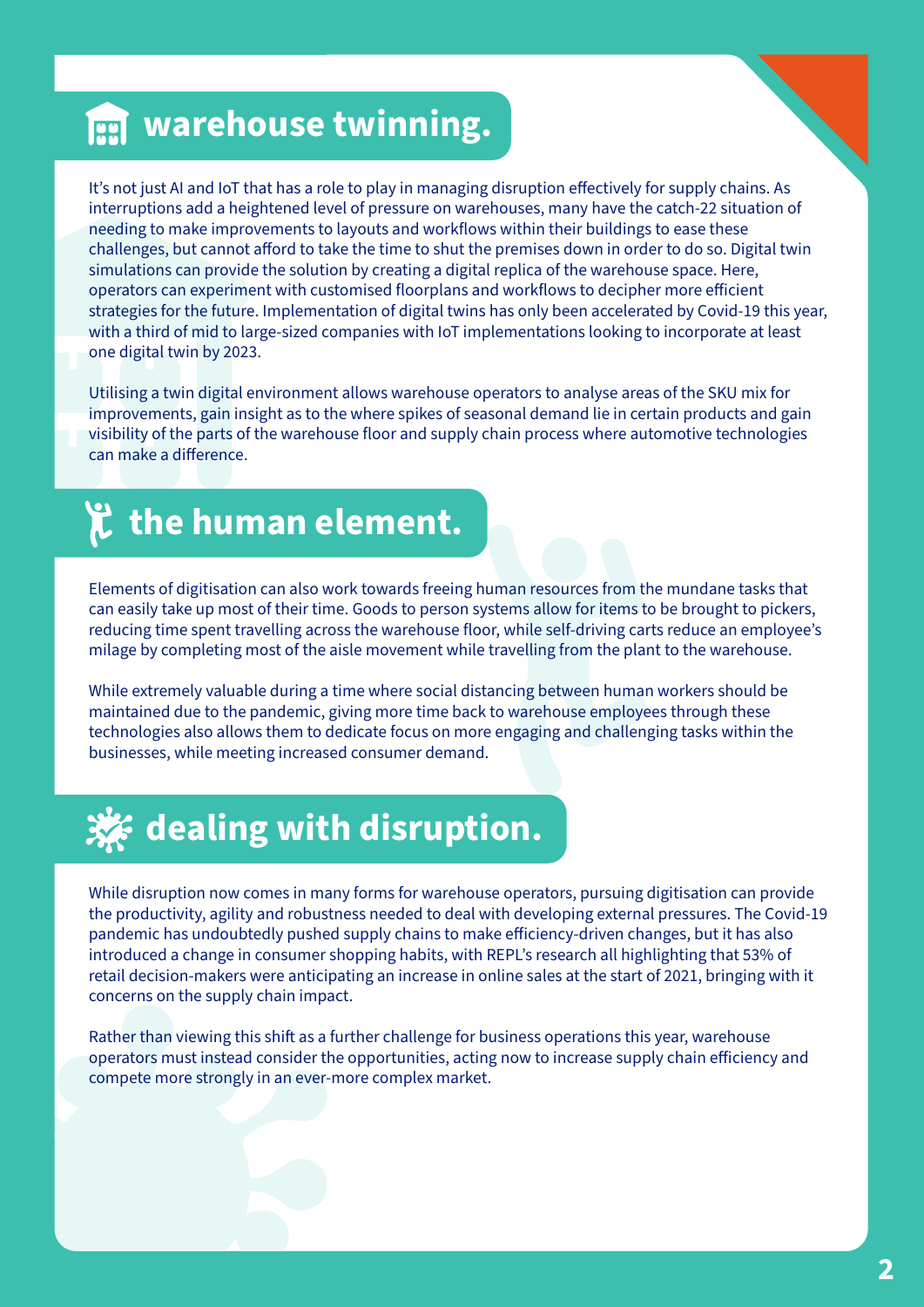#### **warehouse twinning.**

It's not just AI and IoT that has a role to play in managing disruption effectively for supply chains. As interruptions add a heightened level of pressure on warehouses, many have the catch-22 situation of needing to make improvements to layouts and workflows within their buildings to ease these challenges, but cannot afford to take the time to shut the premises down in order to do so. Digital twin simulations can provide the solution by creating a digital replica of the warehouse space. Here, operators can experiment with customised floorplans and workflows to decipher more efficient strategies for the future. Implementation of digital twins has only been accelerated by Covid-19 this year, with a third of mid to large-sized companies with IoT implementations looking to incorporate at least one digital twin by 2023.

Utilising a twin digital environment allows warehouse operators to analyse areas of the SKU mix for improvements, gain insight as to the where spikes of seasonal demand lie in certain products and gain visibility of the parts of the warehouse floor and supply chain process where automotive technologies can make a difference.

### **the human element.**

Elements of digitisation can also work towards freeing human resources from the mundane tasks that can easily take up most of their time. Goods to person systems allow for items to be brought to pickers, reducing time spent travelling across the warehouse floor, while self-driving carts reduce an employee's milage by completing most of the aisle movement while travelling from the plant to the warehouse.

While extremely valuable during a time where social distancing between human workers should be maintained due to the pandemic, giving more time back to warehouse employees through these technologies also allows them to dedicate focus on more engaging and challenging tasks within the businesses, while meeting increased consumer demand.

# **dealing with disruption.**

While disruption now comes in many forms for warehouse operators, pursuing digitisation can provide the productivity, agility and robustness needed to deal with developing external pressures. The Covid-19 pandemic has undoubtedly pushed supply chains to make efficiency-driven changes, but it has also introduced a change in consumer shopping habits, with REPL's research all highlighting that 53% of retail decision-makers were anticipating an increase in online sales at the start of 2021, bringing with it concerns on the supply chain impact.

Rather than viewing this shift as a further challenge for business operations this year, warehouse operators must instead consider the opportunities, acting now to increase supply chain efficiency and compete more strongly in an ever-more complex market.